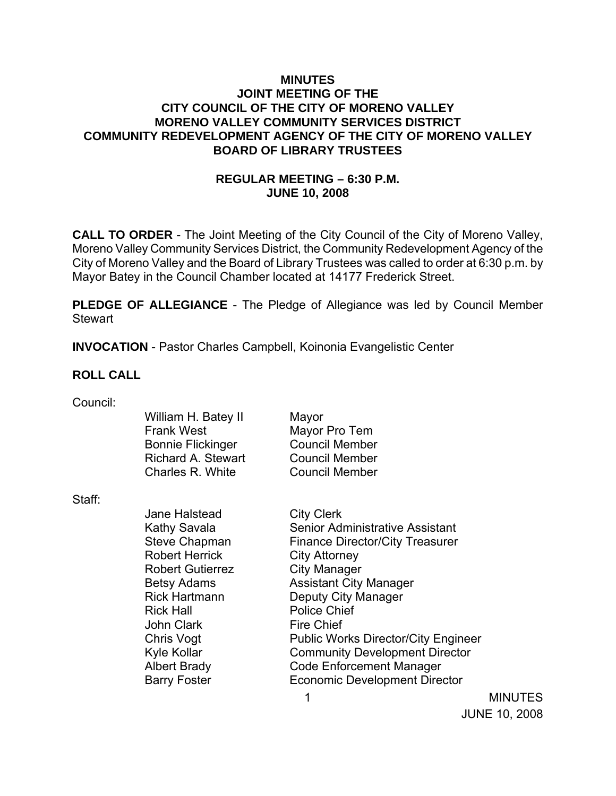### **MINUTES JOINT MEETING OF THE CITY COUNCIL OF THE CITY OF MORENO VALLEY MORENO VALLEY COMMUNITY SERVICES DISTRICT COMMUNITY REDEVELOPMENT AGENCY OF THE CITY OF MORENO VALLEY BOARD OF LIBRARY TRUSTEES**

# **REGULAR MEETING – 6:30 P.M. JUNE 10, 2008**

**CALL TO ORDER** - The Joint Meeting of the City Council of the City of Moreno Valley, Moreno Valley Community Services District, the Community Redevelopment Agency of the City of Moreno Valley and the Board of Library Trustees was called to order at 6:30 p.m. by Mayor Batey in the Council Chamber located at 14177 Frederick Street.

**PLEDGE OF ALLEGIANCE** - The Pledge of Allegiance was led by Council Member **Stewart** 

**INVOCATION** - Pastor Charles Campbell, Koinonia Evangelistic Center

### **ROLL CALL**

| Council: |  |
|----------|--|

|        | William H. Batey II<br><b>Frank West</b><br><b>Bonnie Flickinger</b><br><b>Richard A. Stewart</b><br>Charles R. White | Mayor<br>Mayor Pro Tem<br><b>Council Member</b><br><b>Council Member</b><br><b>Council Member</b> |
|--------|-----------------------------------------------------------------------------------------------------------------------|---------------------------------------------------------------------------------------------------|
| Staff: |                                                                                                                       |                                                                                                   |
|        | Jane Halstead                                                                                                         | <b>City Clerk</b>                                                                                 |
|        | Kathy Savala                                                                                                          | Senior Administrative Assistant                                                                   |
|        | <b>Steve Chapman</b>                                                                                                  | <b>Finance Director/City Treasurer</b>                                                            |
|        | <b>Robert Herrick</b>                                                                                                 | City Attorney                                                                                     |
|        | <b>Robert Gutierrez</b>                                                                                               | <b>City Manager</b>                                                                               |
|        | <b>Betsy Adams</b>                                                                                                    | <b>Assistant City Manager</b>                                                                     |
|        | <b>Rick Hartmann</b>                                                                                                  | Deputy City Manager                                                                               |
|        | <b>Rick Hall</b>                                                                                                      | <b>Police Chief</b>                                                                               |
|        | John Clark                                                                                                            | <b>Fire Chief</b>                                                                                 |
|        | Chris Vogt                                                                                                            | <b>Public Works Director/City Engineer</b>                                                        |
|        | Kyle Kollar                                                                                                           | <b>Community Development Director</b>                                                             |
|        | <b>Albert Brady</b>                                                                                                   | <b>Code Enforcement Manager</b>                                                                   |
|        | <b>Barry Foster</b>                                                                                                   | <b>Economic Development Director</b>                                                              |
|        |                                                                                                                       |                                                                                                   |

**MINUTES** JUNE 10, 2008

1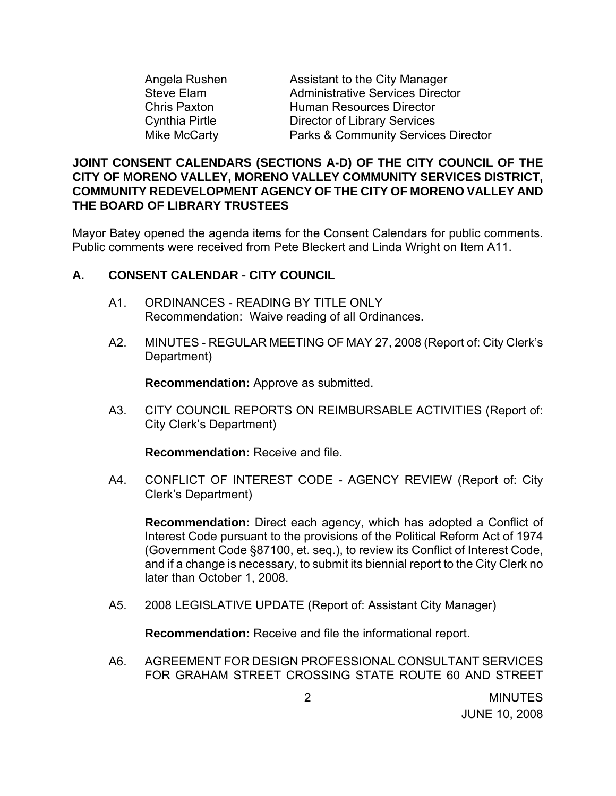| Angela Rushen     | Assistant to the City Manager                  |
|-------------------|------------------------------------------------|
| <b>Steve Elam</b> | <b>Administrative Services Director</b>        |
| Chris Paxton      | <b>Human Resources Director</b>                |
| Cynthia Pirtle    | <b>Director of Library Services</b>            |
| Mike McCarty      | <b>Parks &amp; Community Services Director</b> |

#### **JOINT CONSENT CALENDARS (SECTIONS A-D) OF THE CITY COUNCIL OF THE CITY OF MORENO VALLEY, MORENO VALLEY COMMUNITY SERVICES DISTRICT, COMMUNITY REDEVELOPMENT AGENCY OF THE CITY OF MORENO VALLEY AND THE BOARD OF LIBRARY TRUSTEES**

Mayor Batey opened the agenda items for the Consent Calendars for public comments. Public comments were received from Pete Bleckert and Linda Wright on Item A11.

### **A. CONSENT CALENDAR** - **CITY COUNCIL**

- A1. ORDINANCES READING BY TITLE ONLY Recommendation: Waive reading of all Ordinances.
- A2. MINUTES REGULAR MEETING OF MAY 27, 2008 (Report of: City Clerk's Department)

**Recommendation:** Approve as submitted.

A3. CITY COUNCIL REPORTS ON REIMBURSABLE ACTIVITIES (Report of: City Clerk's Department)

**Recommendation:** Receive and file.

A4. CONFLICT OF INTEREST CODE - AGENCY REVIEW (Report of: City Clerk's Department)

**Recommendation:** Direct each agency, which has adopted a Conflict of Interest Code pursuant to the provisions of the Political Reform Act of 1974 (Government Code §87100, et. seq.), to review its Conflict of Interest Code, and if a change is necessary, to submit its biennial report to the City Clerk no later than October 1, 2008.

A5. 2008 LEGISLATIVE UPDATE (Report of: Assistant City Manager)

**Recommendation:** Receive and file the informational report.

A6. AGREEMENT FOR DESIGN PROFESSIONAL CONSULTANT SERVICES FOR GRAHAM STREET CROSSING STATE ROUTE 60 AND STREET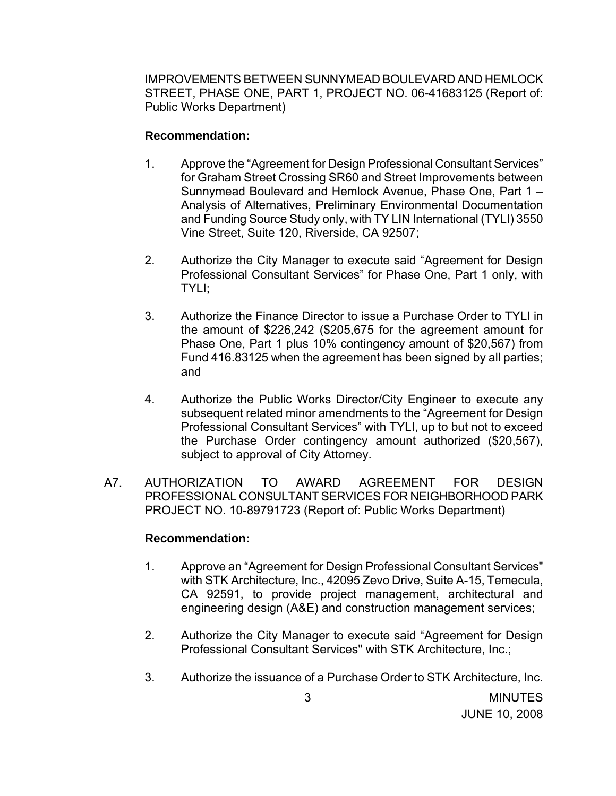IMPROVEMENTS BETWEEN SUNNYMEAD BOULEVARD AND HEMLOCK STREET, PHASE ONE, PART 1, PROJECT NO. 06-41683125 (Report of: Public Works Department)

#### **Recommendation:**

- 1. Approve the "Agreement for Design Professional Consultant Services" for Graham Street Crossing SR60 and Street Improvements between Sunnymead Boulevard and Hemlock Avenue, Phase One, Part 1 – Analysis of Alternatives, Preliminary Environmental Documentation and Funding Source Study only, with TY LIN International (TYLI) 3550 Vine Street, Suite 120, Riverside, CA 92507;
- 2. Authorize the City Manager to execute said "Agreement for Design Professional Consultant Services" for Phase One, Part 1 only, with TYLI;
- 3. Authorize the Finance Director to issue a Purchase Order to TYLI in the amount of \$226,242 (\$205,675 for the agreement amount for Phase One, Part 1 plus 10% contingency amount of \$20,567) from Fund 416.83125 when the agreement has been signed by all parties; and
- 4. Authorize the Public Works Director/City Engineer to execute any subsequent related minor amendments to the "Agreement for Design Professional Consultant Services" with TYLI, up to but not to exceed the Purchase Order contingency amount authorized (\$20,567), subject to approval of City Attorney.
- A7. AUTHORIZATION TO AWARD AGREEMENT FOR DESIGN PROFESSIONAL CONSULTANT SERVICES FOR NEIGHBORHOOD PARK PROJECT NO. 10-89791723 (Report of: Public Works Department)

- 1. Approve an "Agreement for Design Professional Consultant Services" with STK Architecture, Inc., 42095 Zevo Drive, Suite A-15, Temecula, CA 92591, to provide project management, architectural and engineering design (A&E) and construction management services;
- 2. Authorize the City Manager to execute said "Agreement for Design Professional Consultant Services" with STK Architecture, Inc.;
- 3. Authorize the issuance of a Purchase Order to STK Architecture, Inc.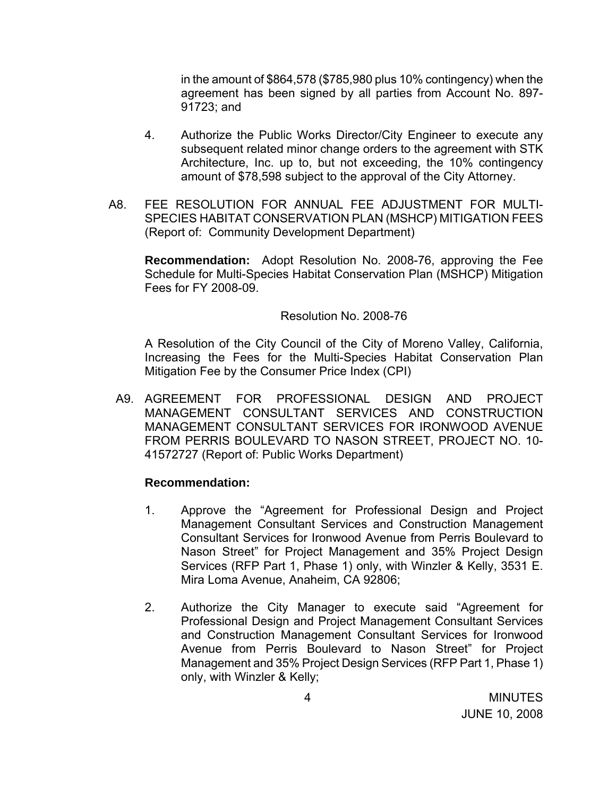in the amount of \$864,578 (\$785,980 plus 10% contingency) when the agreement has been signed by all parties from Account No. 897- 91723; and

- 4. Authorize the Public Works Director/City Engineer to execute any subsequent related minor change orders to the agreement with STK Architecture, Inc. up to, but not exceeding, the 10% contingency amount of \$78,598 subject to the approval of the City Attorney.
- A8. FEE RESOLUTION FOR ANNUAL FEE ADJUSTMENT FOR MULTI-SPECIES HABITAT CONSERVATION PLAN (MSHCP) MITIGATION FEES (Report of: Community Development Department)

 **Recommendation:** Adopt Resolution No. 2008-76, approving the Fee Schedule for Multi-Species Habitat Conservation Plan (MSHCP) Mitigation Fees for FY 2008-09.

#### Resolution No. 2008-76

A Resolution of the City Council of the City of Moreno Valley, California, Increasing the Fees for the Multi-Species Habitat Conservation Plan Mitigation Fee by the Consumer Price Index (CPI)

A9. AGREEMENT FOR PROFESSIONAL DESIGN AND PROJECT MANAGEMENT CONSULTANT SERVICES AND CONSTRUCTION MANAGEMENT CONSULTANT SERVICES FOR IRONWOOD AVENUE FROM PERRIS BOULEVARD TO NASON STREET, PROJECT NO. 10- 41572727 (Report of: Public Works Department)

- 1. Approve the "Agreement for Professional Design and Project Management Consultant Services and Construction Management Consultant Services for Ironwood Avenue from Perris Boulevard to Nason Street" for Project Management and 35% Project Design Services (RFP Part 1, Phase 1) only, with Winzler & Kelly, 3531 E. Mira Loma Avenue, Anaheim, CA 92806;
- 2. Authorize the City Manager to execute said "Agreement for Professional Design and Project Management Consultant Services and Construction Management Consultant Services for Ironwood Avenue from Perris Boulevard to Nason Street" for Project Management and 35% Project Design Services (RFP Part 1, Phase 1) only, with Winzler & Kelly;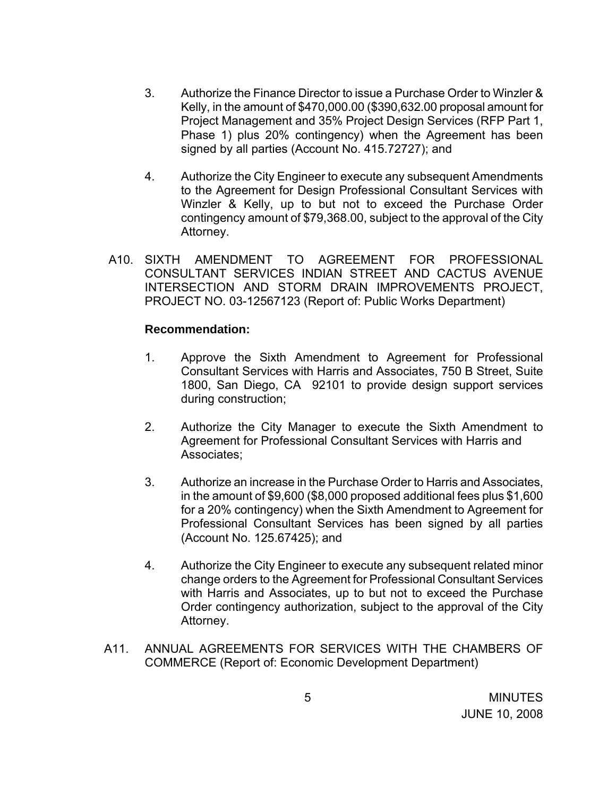- 3. Authorize the Finance Director to issue a Purchase Order to Winzler & Kelly, in the amount of \$470,000.00 (\$390,632.00 proposal amount for Project Management and 35% Project Design Services (RFP Part 1, Phase 1) plus 20% contingency) when the Agreement has been signed by all parties (Account No. 415.72727); and
- 4. Authorize the City Engineer to execute any subsequent Amendments to the Agreement for Design Professional Consultant Services with Winzler & Kelly, up to but not to exceed the Purchase Order contingency amount of \$79,368.00, subject to the approval of the City Attorney.
- A10. SIXTH AMENDMENT TO AGREEMENT FOR PROFESSIONAL CONSULTANT SERVICES INDIAN STREET AND CACTUS AVENUE INTERSECTION AND STORM DRAIN IMPROVEMENTS PROJECT, PROJECT NO. 03-12567123 (Report of: Public Works Department)

- 1. Approve the Sixth Amendment to Agreement for Professional Consultant Services with Harris and Associates, 750 B Street, Suite 1800, San Diego, CA 92101 to provide design support services during construction;
- 2. Authorize the City Manager to execute the Sixth Amendment to Agreement for Professional Consultant Services with Harris and Associates;
- 3. Authorize an increase in the Purchase Order to Harris and Associates, in the amount of \$9,600 (\$8,000 proposed additional fees plus \$1,600 for a 20% contingency) when the Sixth Amendment to Agreement for Professional Consultant Services has been signed by all parties (Account No. 125.67425); and
- 4. Authorize the City Engineer to execute any subsequent related minor change orders to the Agreement for Professional Consultant Services with Harris and Associates, up to but not to exceed the Purchase Order contingency authorization, subject to the approval of the City Attorney.
- A11. ANNUAL AGREEMENTS FOR SERVICES WITH THE CHAMBERS OF COMMERCE (Report of: Economic Development Department)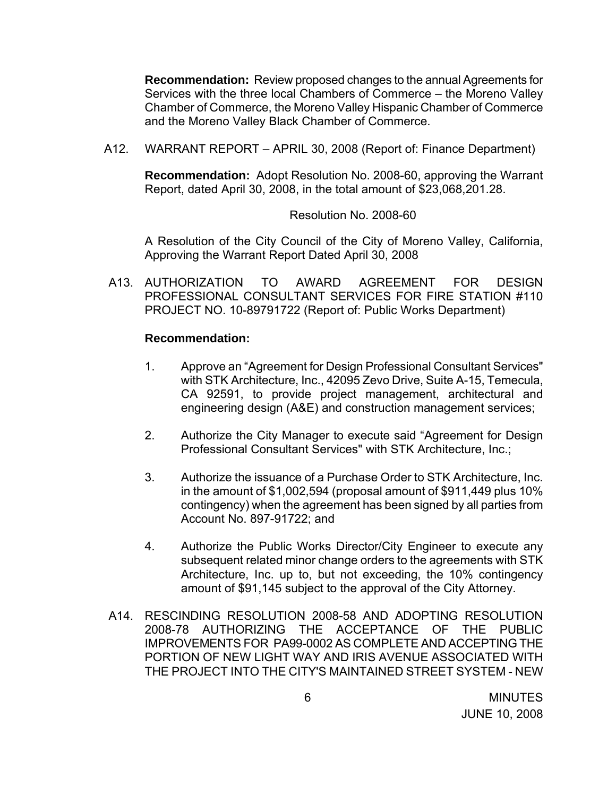**Recommendation:** Review proposed changes to the annual Agreements for Services with the three local Chambers of Commerce – the Moreno Valley Chamber of Commerce, the Moreno Valley Hispanic Chamber of Commerce and the Moreno Valley Black Chamber of Commerce.

A12. WARRANT REPORT – APRIL 30, 2008 (Report of: Finance Department)

 **Recommendation:** Adopt Resolution No. 2008-60, approving the Warrant Report, dated April 30, 2008, in the total amount of \$23,068,201.28.

Resolution No. 2008-60

 A Resolution of the City Council of the City of Moreno Valley, California, Approving the Warrant Report Dated April 30, 2008

A13. AUTHORIZATION TO AWARD AGREEMENT FOR DESIGN PROFESSIONAL CONSULTANT SERVICES FOR FIRE STATION #110 PROJECT NO. 10-89791722 (Report of: Public Works Department)

- 1. Approve an "Agreement for Design Professional Consultant Services" with STK Architecture, Inc., 42095 Zevo Drive, Suite A-15, Temecula, CA 92591, to provide project management, architectural and engineering design (A&E) and construction management services;
- 2. Authorize the City Manager to execute said "Agreement for Design Professional Consultant Services" with STK Architecture, Inc.;
- 3. Authorize the issuance of a Purchase Order to STK Architecture, Inc. in the amount of \$1,002,594 (proposal amount of \$911,449 plus 10% contingency) when the agreement has been signed by all parties from Account No. 897-91722; and
- 4. Authorize the Public Works Director/City Engineer to execute any subsequent related minor change orders to the agreements with STK Architecture, Inc. up to, but not exceeding, the 10% contingency amount of \$91,145 subject to the approval of the City Attorney.
- A14. RESCINDING RESOLUTION 2008-58 AND ADOPTING RESOLUTION 2008-78 AUTHORIZING THE ACCEPTANCE OF THE PUBLIC IMPROVEMENTS FOR PA99-0002 AS COMPLETE AND ACCEPTING THE PORTION OF NEW LIGHT WAY AND IRIS AVENUE ASSOCIATED WITH THE PROJECT INTO THE CITY'S MAINTAINED STREET SYSTEM - NEW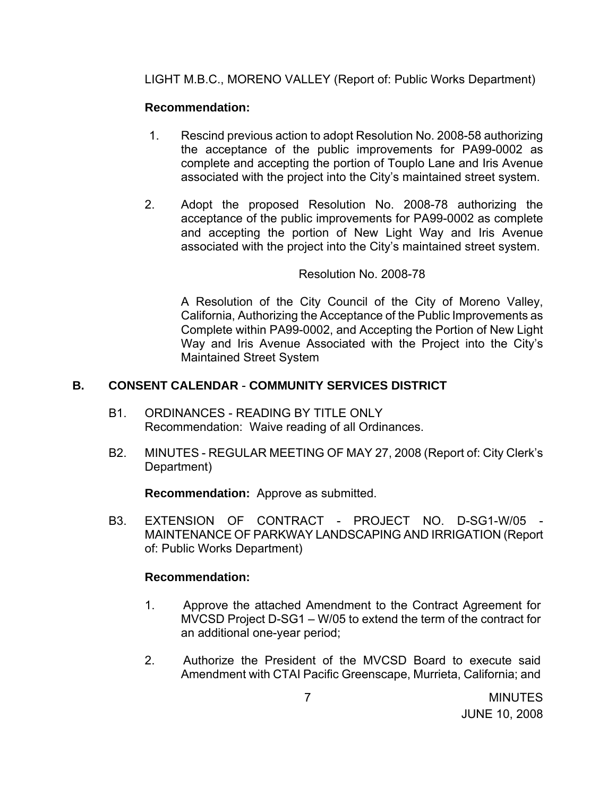LIGHT M.B.C., MORENO VALLEY (Report of: Public Works Department)

# **Recommendation:**

- 1. Rescind previous action to adopt Resolution No. 2008-58 authorizing the acceptance of the public improvements for PA99-0002 as complete and accepting the portion of Touplo Lane and Iris Avenue associated with the project into the City's maintained street system.
- 2. Adopt the proposed Resolution No. 2008-78 authorizing the acceptance of the public improvements for PA99-0002 as complete and accepting the portion of New Light Way and Iris Avenue associated with the project into the City's maintained street system.

## Resolution No. 2008-78

A Resolution of the City Council of the City of Moreno Valley, California, Authorizing the Acceptance of the Public Improvements as Complete within PA99-0002, and Accepting the Portion of New Light Way and Iris Avenue Associated with the Project into the City's Maintained Street System

## **B. CONSENT CALENDAR** - **COMMUNITY SERVICES DISTRICT**

- B1. ORDINANCES READING BY TITLE ONLY Recommendation: Waive reading of all Ordinances.
- B2. MINUTES REGULAR MEETING OF MAY 27, 2008 (Report of: City Clerk's Department)

**Recommendation:** Approve as submitted.

B3. EXTENSION OF CONTRACT - PROJECT NO. D-SG1-W/05 MAINTENANCE OF PARKWAY LANDSCAPING AND IRRIGATION (Report of: Public Works Department)

- 1. Approve the attached Amendment to the Contract Agreement for MVCSD Project D-SG1 – W/05 to extend the term of the contract for an additional one-year period;
- 2. Authorize the President of the MVCSD Board to execute said Amendment with CTAI Pacific Greenscape, Murrieta, California; and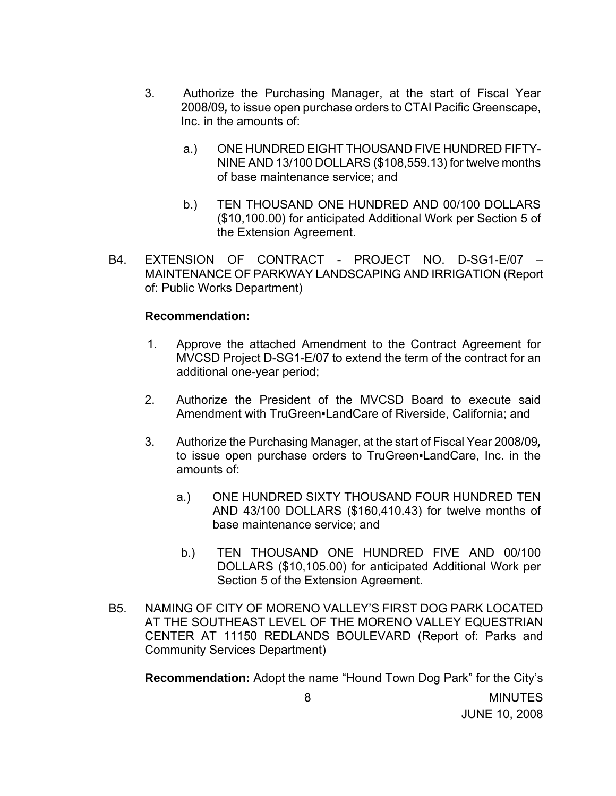- 3. Authorize the Purchasing Manager, at the start of Fiscal Year 2008/09*,* to issue open purchase orders to CTAI Pacific Greenscape, Inc. in the amounts of:
	- a.) ONE HUNDRED EIGHT THOUSAND FIVE HUNDRED FIFTY-NINE AND 13/100 DOLLARS (\$108,559.13) for twelve months of base maintenance service; and
	- b.) TEN THOUSAND ONE HUNDRED AND 00/100 DOLLARS (\$10,100.00) for anticipated Additional Work per Section 5 of the Extension Agreement.
- B4. EXTENSION OF CONTRACT PROJECT NO. D-SG1-E/07 MAINTENANCE OF PARKWAY LANDSCAPING AND IRRIGATION (Report of: Public Works Department)

#### **Recommendation:**

- 1. Approve the attached Amendment to the Contract Agreement for MVCSD Project D-SG1-E/07 to extend the term of the contract for an additional one-year period;
- 2. Authorize the President of the MVCSD Board to execute said Amendment with TruGreen•LandCare of Riverside, California: and
- 3. Authorize the Purchasing Manager, at the start of Fiscal Year 2008/09*,* to issue open purchase orders to TruGreen. LandCare, Inc. in the amounts of:
	- a.) ONE HUNDRED SIXTY THOUSAND FOUR HUNDRED TEN AND 43/100 DOLLARS (\$160,410.43) for twelve months of base maintenance service; and
	- b.) TEN THOUSAND ONE HUNDRED FIVE AND 00/100 DOLLARS (\$10,105.00) for anticipated Additional Work per Section 5 of the Extension Agreement.
- B5. NAMING OF CITY OF MORENO VALLEY'S FIRST DOG PARK LOCATED AT THE SOUTHEAST LEVEL OF THE MORENO VALLEY EQUESTRIAN CENTER AT 11150 REDLANDS BOULEVARD (Report of: Parks and Community Services Department)

**Recommendation:** Adopt the name "Hound Town Dog Park" for the City's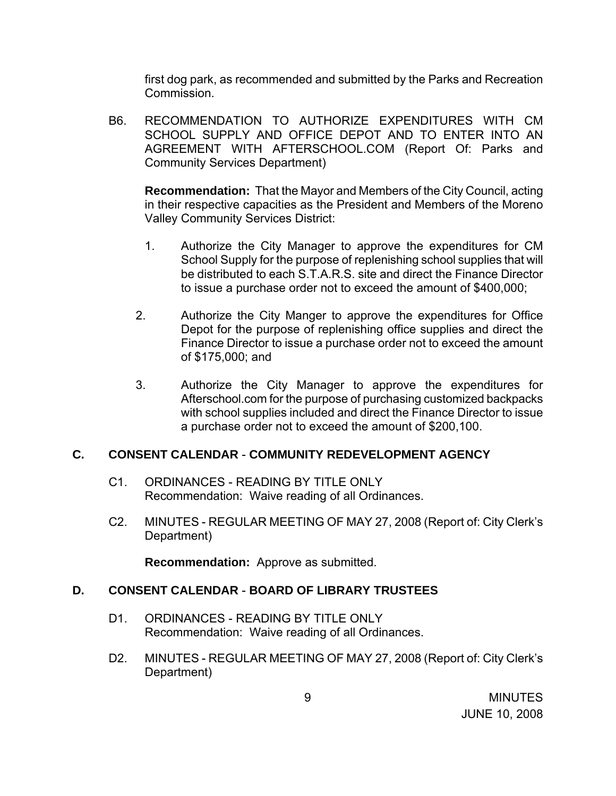first dog park, as recommended and submitted by the Parks and Recreation Commission.

B6. RECOMMENDATION TO AUTHORIZE EXPENDITURES WITH CM SCHOOL SUPPLY AND OFFICE DEPOT AND TO ENTER INTO AN AGREEMENT WITH AFTERSCHOOL.COM (Report Of: Parks and Community Services Department)

**Recommendation:** That the Mayor and Members of the City Council, acting in their respective capacities as the President and Members of the Moreno Valley Community Services District:

- 1. Authorize the City Manager to approve the expenditures for CM School Supply for the purpose of replenishing school supplies that will be distributed to each S.T.A.R.S. site and direct the Finance Director to issue a purchase order not to exceed the amount of \$400,000;
- 2. Authorize the City Manger to approve the expenditures for Office Depot for the purpose of replenishing office supplies and direct the Finance Director to issue a purchase order not to exceed the amount of \$175,000; and
- 3. Authorize the City Manager to approve the expenditures for Afterschool.com for the purpose of purchasing customized backpacks with school supplies included and direct the Finance Director to issue a purchase order not to exceed the amount of \$200,100.

### **C. CONSENT CALENDAR** - **COMMUNITY REDEVELOPMENT AGENCY**

- C1. ORDINANCES READING BY TITLE ONLY Recommendation: Waive reading of all Ordinances.
- C2. MINUTES REGULAR MEETING OF MAY 27, 2008 (Report of: City Clerk's Department)

**Recommendation:** Approve as submitted.

### **D. CONSENT CALENDAR** - **BOARD OF LIBRARY TRUSTEES**

- D1. ORDINANCES READING BY TITLE ONLY Recommendation: Waive reading of all Ordinances.
- D2. MINUTES REGULAR MEETING OF MAY 27, 2008 (Report of: City Clerk's Department)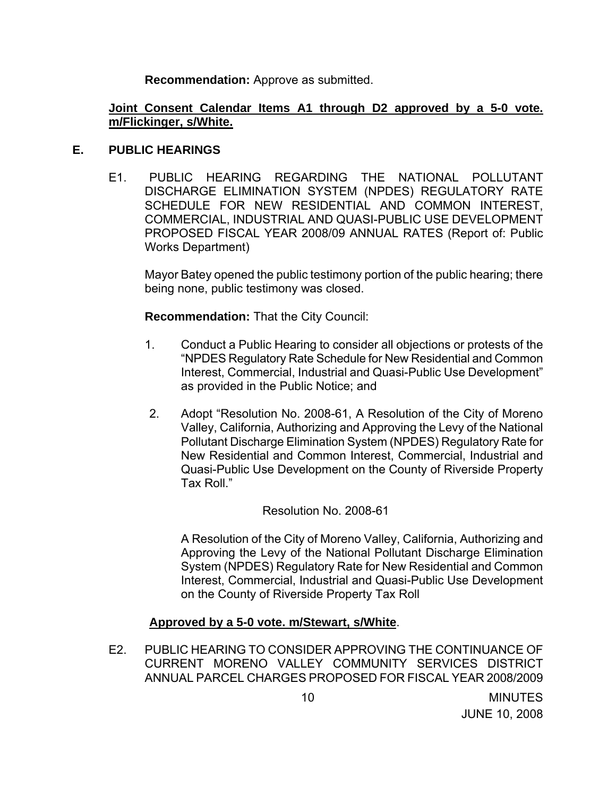**Recommendation:** Approve as submitted.

### **Joint Consent Calendar Items A1 through D2 approved by a 5-0 vote. m/Flickinger, s/White.**

### **E. PUBLIC HEARINGS**

 E1. PUBLIC HEARING REGARDING THE NATIONAL POLLUTANT DISCHARGE ELIMINATION SYSTEM (NPDES) REGULATORY RATE SCHEDULE FOR NEW RESIDENTIAL AND COMMON INTEREST, COMMERCIAL, INDUSTRIAL AND QUASI-PUBLIC USE DEVELOPMENT PROPOSED FISCAL YEAR 2008/09 ANNUAL RATES (Report of: Public Works Department)

Mayor Batey opened the public testimony portion of the public hearing; there being none, public testimony was closed.

**Recommendation:** That the City Council:

- 1. Conduct a Public Hearing to consider all objections or protests of the "NPDES Regulatory Rate Schedule for New Residential and Common Interest, Commercial, Industrial and Quasi-Public Use Development" as provided in the Public Notice; and
- 2. Adopt "Resolution No. 2008-61, A Resolution of the City of Moreno Valley, California, Authorizing and Approving the Levy of the National Pollutant Discharge Elimination System (NPDES) Regulatory Rate for New Residential and Common Interest, Commercial, Industrial and Quasi-Public Use Development on the County of Riverside Property Tax Roll<sup>"</sup>

Resolution No. 2008-61

A Resolution of the City of Moreno Valley, California, Authorizing and Approving the Levy of the National Pollutant Discharge Elimination System (NPDES) Regulatory Rate for New Residential and Common Interest, Commercial, Industrial and Quasi-Public Use Development on the County of Riverside Property Tax Roll

# **Approved by a 5-0 vote. m/Stewart, s/White**.

E2. PUBLIC HEARING TO CONSIDER APPROVING THE CONTINUANCE OF CURRENT MORENO VALLEY COMMUNITY SERVICES DISTRICT ANNUAL PARCEL CHARGES PROPOSED FOR FISCAL YEAR 2008/2009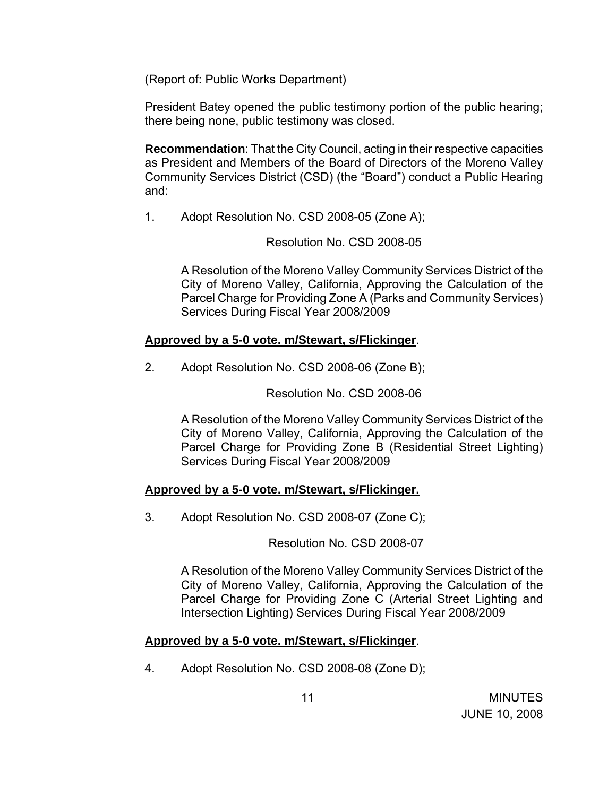(Report of: Public Works Department)

President Batey opened the public testimony portion of the public hearing; there being none, public testimony was closed.

**Recommendation**: That the City Council, acting in their respective capacities as President and Members of the Board of Directors of the Moreno Valley Community Services District (CSD) (the "Board") conduct a Public Hearing and:

1. Adopt Resolution No. CSD 2008-05 (Zone A);

Resolution No. CSD 2008-05

A Resolution of the Moreno Valley Community Services District of the City of Moreno Valley, California, Approving the Calculation of the Parcel Charge for Providing Zone A (Parks and Community Services) Services During Fiscal Year 2008/2009

## **Approved by a 5-0 vote. m/Stewart, s/Flickinger**.

2. Adopt Resolution No. CSD 2008-06 (Zone B);

Resolution No. CSD 2008-06

A Resolution of the Moreno Valley Community Services District of the City of Moreno Valley, California, Approving the Calculation of the Parcel Charge for Providing Zone B (Residential Street Lighting) Services During Fiscal Year 2008/2009

# **Approved by a 5-0 vote. m/Stewart, s/Flickinger.**

3. Adopt Resolution No. CSD 2008-07 (Zone C);

Resolution No. CSD 2008-07

A Resolution of the Moreno Valley Community Services District of the City of Moreno Valley, California, Approving the Calculation of the Parcel Charge for Providing Zone C (Arterial Street Lighting and Intersection Lighting) Services During Fiscal Year 2008/2009

# **Approved by a 5-0 vote. m/Stewart, s/Flickinger**.

4. Adopt Resolution No. CSD 2008-08 (Zone D);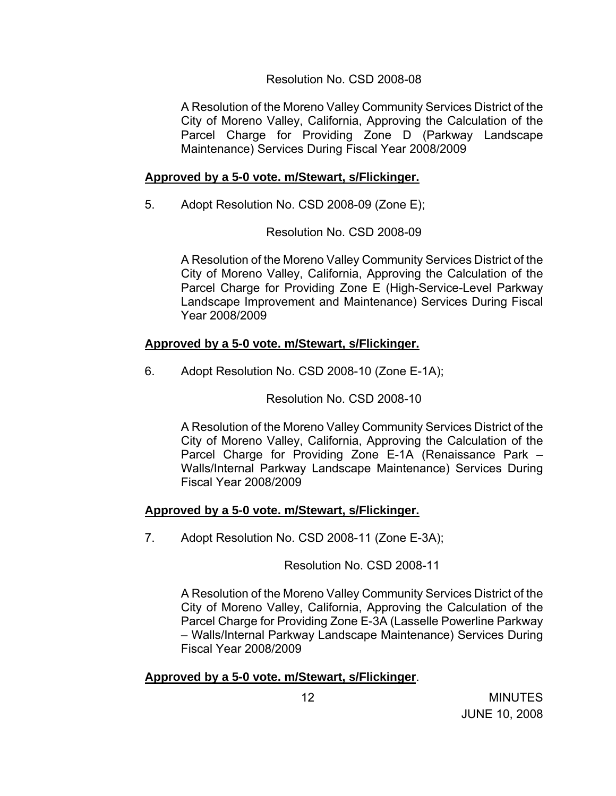### Resolution No. CSD 2008-08

A Resolution of the Moreno Valley Community Services District of the City of Moreno Valley, California, Approving the Calculation of the Parcel Charge for Providing Zone D (Parkway Landscape Maintenance) Services During Fiscal Year 2008/2009

# **Approved by a 5-0 vote. m/Stewart, s/Flickinger.**

5. Adopt Resolution No. CSD 2008-09 (Zone E);

## Resolution No. CSD 2008-09

A Resolution of the Moreno Valley Community Services District of the City of Moreno Valley, California, Approving the Calculation of the Parcel Charge for Providing Zone E (High-Service-Level Parkway Landscape Improvement and Maintenance) Services During Fiscal Year 2008/2009

# **Approved by a 5-0 vote. m/Stewart, s/Flickinger.**

6. Adopt Resolution No. CSD 2008-10 (Zone E-1A);

Resolution No. CSD 2008-10

A Resolution of the Moreno Valley Community Services District of the City of Moreno Valley, California, Approving the Calculation of the Parcel Charge for Providing Zone E-1A (Renaissance Park – Walls/Internal Parkway Landscape Maintenance) Services During Fiscal Year 2008/2009

### **Approved by a 5-0 vote. m/Stewart, s/Flickinger.**

7. Adopt Resolution No. CSD 2008-11 (Zone E-3A);

Resolution No. CSD 2008-11

A Resolution of the Moreno Valley Community Services District of the City of Moreno Valley, California, Approving the Calculation of the Parcel Charge for Providing Zone E-3A (Lasselle Powerline Parkway – Walls/Internal Parkway Landscape Maintenance) Services During Fiscal Year 2008/2009

### **Approved by a 5-0 vote. m/Stewart, s/Flickinger**.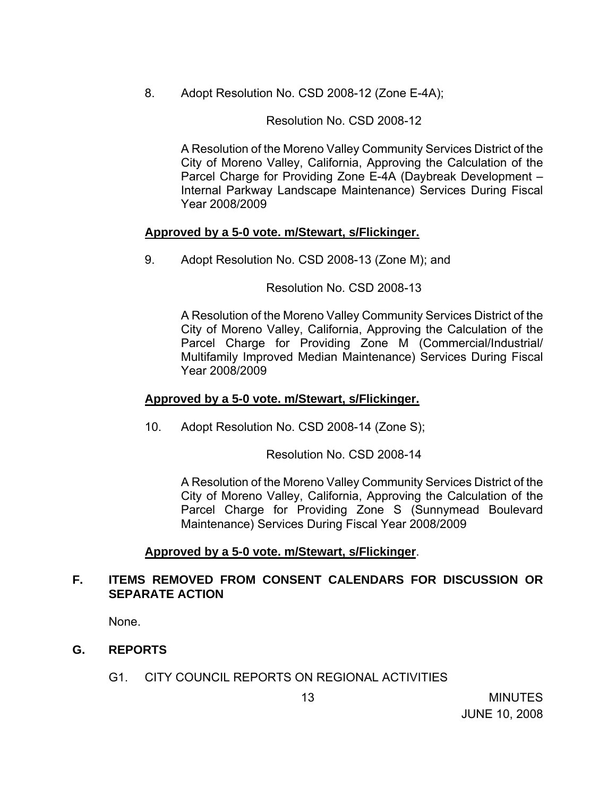8. Adopt Resolution No. CSD 2008-12 (Zone E-4A);

Resolution No. CSD 2008-12

A Resolution of the Moreno Valley Community Services District of the City of Moreno Valley, California, Approving the Calculation of the Parcel Charge for Providing Zone E-4A (Daybreak Development – Internal Parkway Landscape Maintenance) Services During Fiscal Year 2008/2009

#### **Approved by a 5-0 vote. m/Stewart, s/Flickinger.**

9. Adopt Resolution No. CSD 2008-13 (Zone M); and

Resolution No. CSD 2008-13

A Resolution of the Moreno Valley Community Services District of the City of Moreno Valley, California, Approving the Calculation of the Parcel Charge for Providing Zone M (Commercial/Industrial/ Multifamily Improved Median Maintenance) Services During Fiscal Year 2008/2009

#### **Approved by a 5-0 vote. m/Stewart, s/Flickinger.**

10. Adopt Resolution No. CSD 2008-14 (Zone S);

Resolution No. CSD 2008-14

A Resolution of the Moreno Valley Community Services District of the City of Moreno Valley, California, Approving the Calculation of the Parcel Charge for Providing Zone S (Sunnymead Boulevard Maintenance) Services During Fiscal Year 2008/2009

### **Approved by a 5-0 vote. m/Stewart, s/Flickinger**.

## **F. ITEMS REMOVED FROM CONSENT CALENDARS FOR DISCUSSION OR SEPARATE ACTION**

None.

### **G. REPORTS**

G1. CITY COUNCIL REPORTS ON REGIONAL ACTIVITIES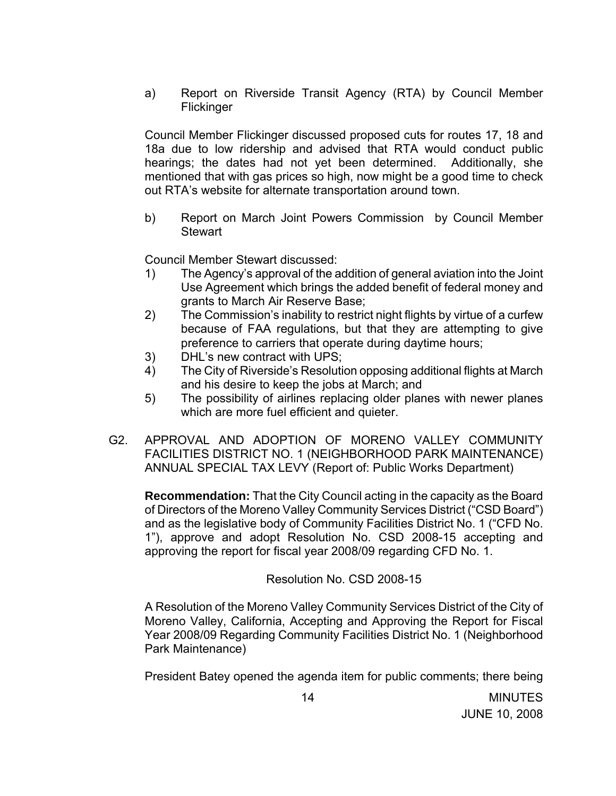a) Report on Riverside Transit Agency (RTA) by Council Member Flickinger

 Council Member Flickinger discussed proposed cuts for routes 17, 18 and 18a due to low ridership and advised that RTA would conduct public hearings; the dates had not yet been determined. Additionally, she mentioned that with gas prices so high, now might be a good time to check out RTA's website for alternate transportation around town.

b) Report on March Joint Powers Commission by Council Member **Stewart** 

Council Member Stewart discussed:

- 1) The Agency's approval of the addition of general aviation into the Joint Use Agreement which brings the added benefit of federal money and grants to March Air Reserve Base;
- 2) The Commission's inability to restrict night flights by virtue of a curfew because of FAA regulations, but that they are attempting to give preference to carriers that operate during daytime hours;
- 3) DHL's new contract with UPS;
- 4) The City of Riverside's Resolution opposing additional flights at March and his desire to keep the jobs at March; and
- 5) The possibility of airlines replacing older planes with newer planes which are more fuel efficient and quieter.
- G2. APPROVAL AND ADOPTION OF MORENO VALLEY COMMUNITY FACILITIES DISTRICT NO. 1 (NEIGHBORHOOD PARK MAINTENANCE) ANNUAL SPECIAL TAX LEVY (Report of: Public Works Department)

**Recommendation:** That the City Council acting in the capacity as the Board of Directors of the Moreno Valley Community Services District ("CSD Board") and as the legislative body of Community Facilities District No. 1 ("CFD No. 1"), approve and adopt Resolution No. CSD 2008-15 accepting and approving the report for fiscal year 2008/09 regarding CFD No. 1.

Resolution No. CSD 2008-15

A Resolution of the Moreno Valley Community Services District of the City of Moreno Valley, California, Accepting and Approving the Report for Fiscal Year 2008/09 Regarding Community Facilities District No. 1 (Neighborhood Park Maintenance)

President Batey opened the agenda item for public comments; there being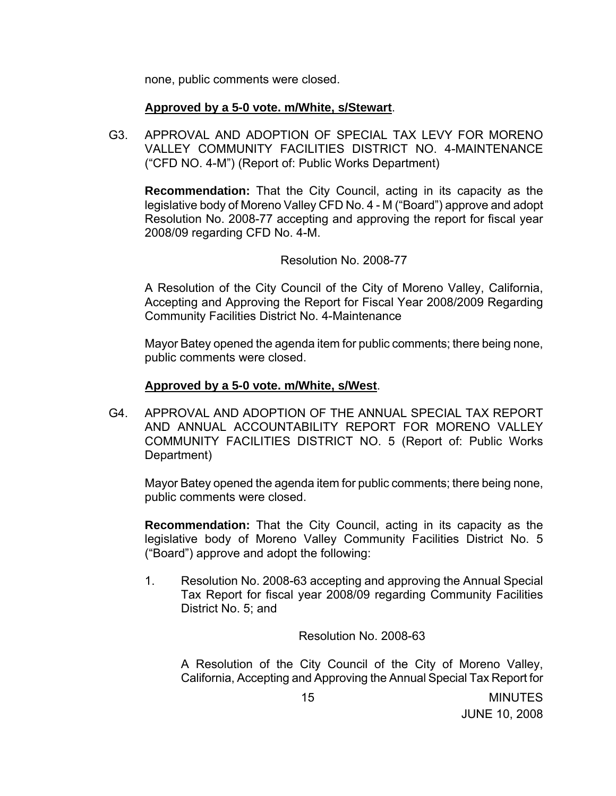none, public comments were closed.

#### **Approved by a 5-0 vote. m/White, s/Stewart**.

G3. APPROVAL AND ADOPTION OF SPECIAL TAX LEVY FOR MORENO VALLEY COMMUNITY FACILITIES DISTRICT NO. 4-MAINTENANCE ("CFD NO. 4-M") (Report of: Public Works Department)

**Recommendation:** That the City Council, acting in its capacity as the legislative body of Moreno Valley CFD No. 4 - M ("Board") approve and adopt Resolution No. 2008-77 accepting and approving the report for fiscal year 2008/09 regarding CFD No. 4-M.

#### Resolution No. 2008-77

A Resolution of the City Council of the City of Moreno Valley, California, Accepting and Approving the Report for Fiscal Year 2008/2009 Regarding Community Facilities District No. 4-Maintenance

Mayor Batey opened the agenda item for public comments; there being none, public comments were closed.

#### **Approved by a 5-0 vote. m/White, s/West**.

G4. APPROVAL AND ADOPTION OF THE ANNUAL SPECIAL TAX REPORT AND ANNUAL ACCOUNTABILITY REPORT FOR MORENO VALLEY COMMUNITY FACILITIES DISTRICT NO. 5 (Report of: Public Works Department)

Mayor Batey opened the agenda item for public comments; there being none, public comments were closed.

**Recommendation:** That the City Council, acting in its capacity as the legislative body of Moreno Valley Community Facilities District No. 5 ("Board") approve and adopt the following:

1. Resolution No. 2008-63 accepting and approving the Annual Special Tax Report for fiscal year 2008/09 regarding Community Facilities District No. 5; and

Resolution No. 2008-63

A Resolution of the City Council of the City of Moreno Valley, California, Accepting and Approving the Annual Special Tax Report for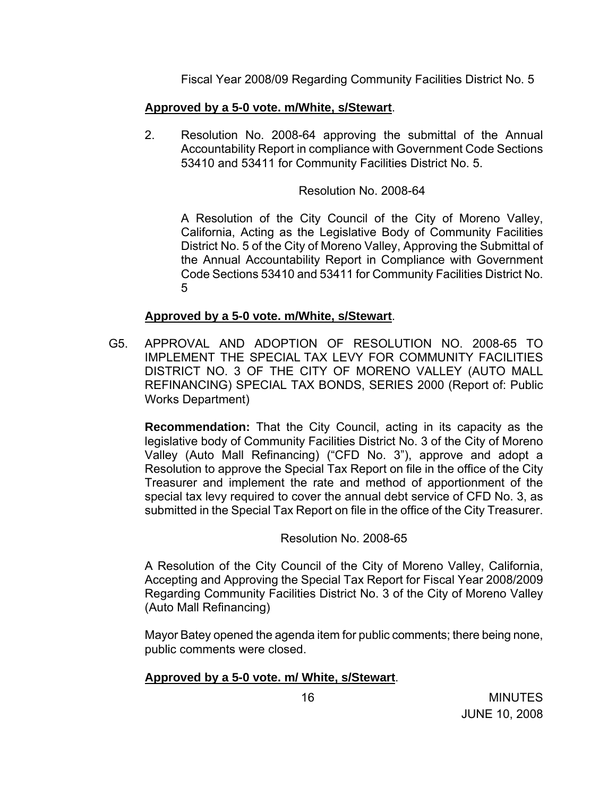Fiscal Year 2008/09 Regarding Community Facilities District No. 5

# **Approved by a 5-0 vote. m/White, s/Stewart**.

2. Resolution No. 2008-64 approving the submittal of the Annual Accountability Report in compliance with Government Code Sections 53410 and 53411 for Community Facilities District No. 5.

### Resolution No. 2008-64

A Resolution of the City Council of the City of Moreno Valley, California, Acting as the Legislative Body of Community Facilities District No. 5 of the City of Moreno Valley, Approving the Submittal of the Annual Accountability Report in Compliance with Government Code Sections 53410 and 53411 for Community Facilities District No. 5

### **Approved by a 5-0 vote. m/White, s/Stewart**.

G5. APPROVAL AND ADOPTION OF RESOLUTION NO. 2008-65 TO IMPLEMENT THE SPECIAL TAX LEVY FOR COMMUNITY FACILITIES DISTRICT NO. 3 OF THE CITY OF MORENO VALLEY (AUTO MALL REFINANCING) SPECIAL TAX BONDS, SERIES 2000 (Report of: Public Works Department)

**Recommendation:** That the City Council, acting in its capacity as the legislative body of Community Facilities District No. 3 of the City of Moreno Valley (Auto Mall Refinancing) ("CFD No. 3"), approve and adopt a Resolution to approve the Special Tax Report on file in the office of the City Treasurer and implement the rate and method of apportionment of the special tax levy required to cover the annual debt service of CFD No. 3, as submitted in the Special Tax Report on file in the office of the City Treasurer.

# Resolution No. 2008-65

 A Resolution of the City Council of the City of Moreno Valley, California, Accepting and Approving the Special Tax Report for Fiscal Year 2008/2009 Regarding Community Facilities District No. 3 of the City of Moreno Valley (Auto Mall Refinancing)

Mayor Batey opened the agenda item for public comments; there being none, public comments were closed.

# **Approved by a 5-0 vote. m/ White, s/Stewart**.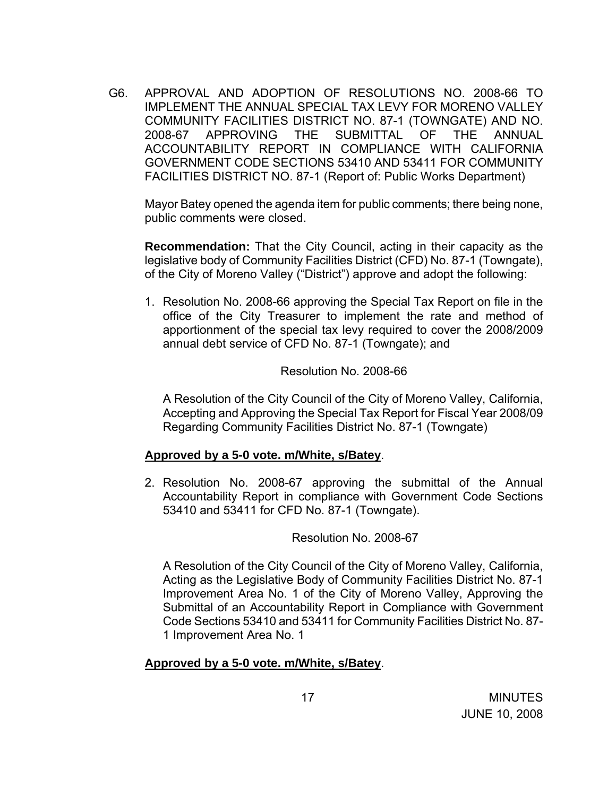G6. APPROVAL AND ADOPTION OF RESOLUTIONS NO. 2008-66 TO IMPLEMENT THE ANNUAL SPECIAL TAX LEVY FOR MORENO VALLEY COMMUNITY FACILITIES DISTRICT NO. 87-1 (TOWNGATE) AND NO. 2008-67 APPROVING THE SUBMITTAL OF THE ANNUAL ACCOUNTABILITY REPORT IN COMPLIANCE WITH CALIFORNIA GOVERNMENT CODE SECTIONS 53410 AND 53411 FOR COMMUNITY FACILITIES DISTRICT NO. 87-1 (Report of: Public Works Department)

Mayor Batey opened the agenda item for public comments; there being none, public comments were closed.

**Recommendation:** That the City Council, acting in their capacity as the legislative body of Community Facilities District (CFD) No. 87-1 (Towngate), of the City of Moreno Valley ("District") approve and adopt the following:

1. Resolution No. 2008-66 approving the Special Tax Report on file in the office of the City Treasurer to implement the rate and method of apportionment of the special tax levy required to cover the 2008/2009 annual debt service of CFD No. 87-1 (Towngate); and

#### Resolution No. 2008-66

A Resolution of the City Council of the City of Moreno Valley, California, Accepting and Approving the Special Tax Report for Fiscal Year 2008/09 Regarding Community Facilities District No. 87-1 (Towngate)

### **Approved by a 5-0 vote. m/White, s/Batey**.

2. Resolution No. 2008-67 approving the submittal of the Annual Accountability Report in compliance with Government Code Sections 53410 and 53411 for CFD No. 87-1 (Towngate).

### Resolution No. 2008-67

A Resolution of the City Council of the City of Moreno Valley, California, Acting as the Legislative Body of Community Facilities District No. 87-1 Improvement Area No. 1 of the City of Moreno Valley, Approving the Submittal of an Accountability Report in Compliance with Government Code Sections 53410 and 53411 for Community Facilities District No. 87- 1 Improvement Area No. 1

#### **Approved by a 5-0 vote. m/White, s/Batey**.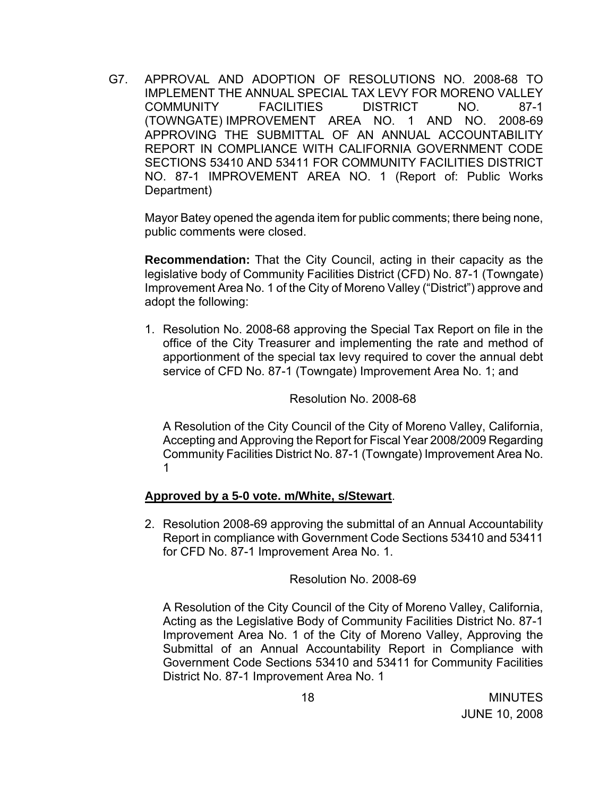G7. APPROVAL AND ADOPTION OF RESOLUTIONS NO. 2008-68 TO IMPLEMENT THE ANNUAL SPECIAL TAX LEVY FOR MORENO VALLEY COMMUNITY FACILITIES DISTRICT NO. 87-1 (TOWNGATE) IMPROVEMENT AREA NO. 1 AND NO. 2008-69 APPROVING THE SUBMITTAL OF AN ANNUAL ACCOUNTABILITY REPORT IN COMPLIANCE WITH CALIFORNIA GOVERNMENT CODE SECTIONS 53410 AND 53411 FOR COMMUNITY FACILITIES DISTRICT NO. 87-1 IMPROVEMENT AREA NO. 1 (Report of: Public Works Department)

Mayor Batey opened the agenda item for public comments; there being none, public comments were closed.

**Recommendation:** That the City Council, acting in their capacity as the legislative body of Community Facilities District (CFD) No. 87-1 (Towngate) Improvement Area No. 1 of the City of Moreno Valley ("District") approve and adopt the following:

1. Resolution No. 2008-68 approving the Special Tax Report on file in the office of the City Treasurer and implementing the rate and method of apportionment of the special tax levy required to cover the annual debt service of CFD No. 87-1 (Towngate) Improvement Area No. 1; and

Resolution No. 2008-68

A Resolution of the City Council of the City of Moreno Valley, California, Accepting and Approving the Report for Fiscal Year 2008/2009 Regarding Community Facilities District No. 87-1 (Towngate) Improvement Area No. 1

### **Approved by a 5-0 vote. m/White, s/Stewart**.

2. Resolution 2008-69 approving the submittal of an Annual Accountability Report in compliance with Government Code Sections 53410 and 53411 for CFD No. 87-1 Improvement Area No. 1.

Resolution No. 2008-69

A Resolution of the City Council of the City of Moreno Valley, California, Acting as the Legislative Body of Community Facilities District No. 87-1 Improvement Area No. 1 of the City of Moreno Valley, Approving the Submittal of an Annual Accountability Report in Compliance with Government Code Sections 53410 and 53411 for Community Facilities District No. 87-1 Improvement Area No. 1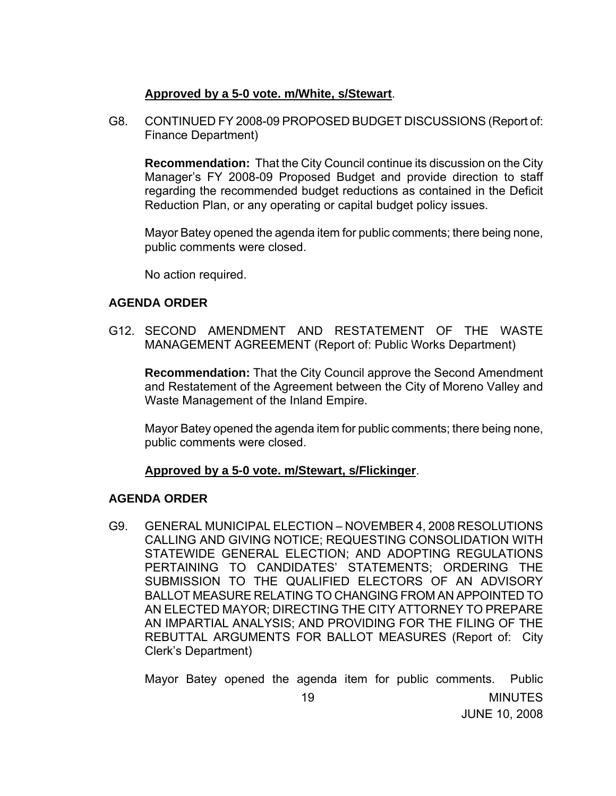### **Approved by a 5-0 vote. m/White, s/Stewart**.

 G8. CONTINUED FY 2008-09 PROPOSED BUDGET DISCUSSIONS (Report of: Finance Department)

 **Recommendation:** That the City Council continue its discussion on the City Manager's FY 2008-09 Proposed Budget and provide direction to staff regarding the recommended budget reductions as contained in the Deficit Reduction Plan, or any operating or capital budget policy issues.

Mayor Batey opened the agenda item for public comments; there being none, public comments were closed.

No action required.

### **AGENDA ORDER**

G12. SECOND AMENDMENT AND RESTATEMENT OF THE WASTE MANAGEMENT AGREEMENT (Report of: Public Works Department)

**Recommendation:** That the City Council approve the Second Amendment and Restatement of the Agreement between the City of Moreno Valley and Waste Management of the Inland Empire.

 Mayor Batey opened the agenda item for public comments; there being none, public comments were closed.

### **Approved by a 5-0 vote. m/Stewart, s/Flickinger**.

### **AGENDA ORDER**

G9. GENERAL MUNICIPAL ELECTION – NOVEMBER 4, 2008 RESOLUTIONS CALLING AND GIVING NOTICE; REQUESTING CONSOLIDATION WITH STATEWIDE GENERAL ELECTION; AND ADOPTING REGULATIONS PERTAINING TO CANDIDATES' STATEMENTS; ORDERING THE SUBMISSION TO THE QUALIFIED ELECTORS OF AN ADVISORY BALLOT MEASURE RELATING TO CHANGING FROM AN APPOINTED TO AN ELECTED MAYOR; DIRECTING THE CITY ATTORNEY TO PREPARE AN IMPARTIAL ANALYSIS; AND PROVIDING FOR THE FILING OF THE REBUTTAL ARGUMENTS FOR BALLOT MEASURES (Report of: City Clerk's Department)

Mayor Batey opened the agenda item for public comments. Public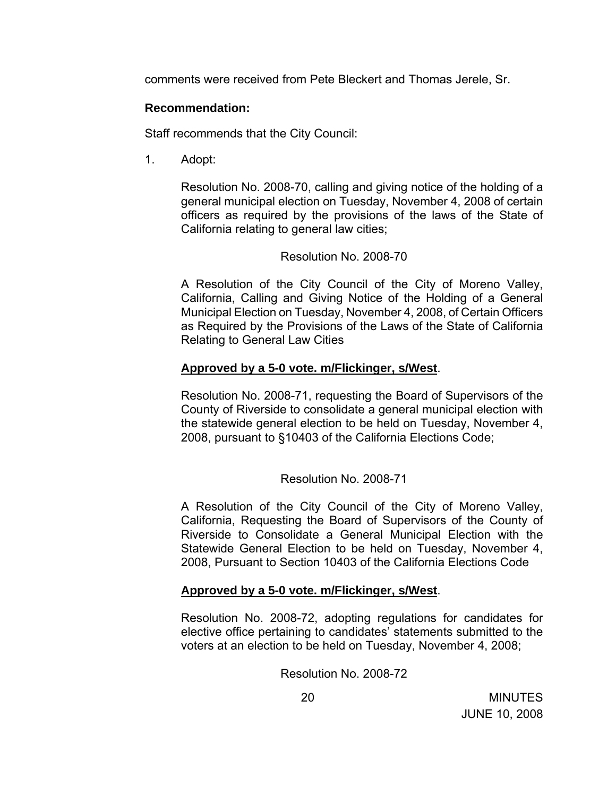comments were received from Pete Bleckert and Thomas Jerele, Sr.

### **Recommendation:**

Staff recommends that the City Council:

1. Adopt:

Resolution No. 2008-70, calling and giving notice of the holding of a general municipal election on Tuesday, November 4, 2008 of certain officers as required by the provisions of the laws of the State of California relating to general law cities;

### Resolution No. 2008-70

A Resolution of the City Council of the City of Moreno Valley, California, Calling and Giving Notice of the Holding of a General Municipal Election on Tuesday, November 4, 2008, of Certain Officers as Required by the Provisions of the Laws of the State of California Relating to General Law Cities

## **Approved by a 5-0 vote. m/Flickinger, s/West**.

Resolution No. 2008-71, requesting the Board of Supervisors of the County of Riverside to consolidate a general municipal election with the statewide general election to be held on Tuesday, November 4, 2008, pursuant to §10403 of the California Elections Code;

Resolution No. 2008-71

A Resolution of the City Council of the City of Moreno Valley, California, Requesting the Board of Supervisors of the County of Riverside to Consolidate a General Municipal Election with the Statewide General Election to be held on Tuesday, November 4, 2008, Pursuant to Section 10403 of the California Elections Code

# **Approved by a 5-0 vote. m/Flickinger, s/West**.

Resolution No. 2008-72, adopting regulations for candidates for elective office pertaining to candidates' statements submitted to the voters at an election to be held on Tuesday, November 4, 2008;

Resolution No. 2008-72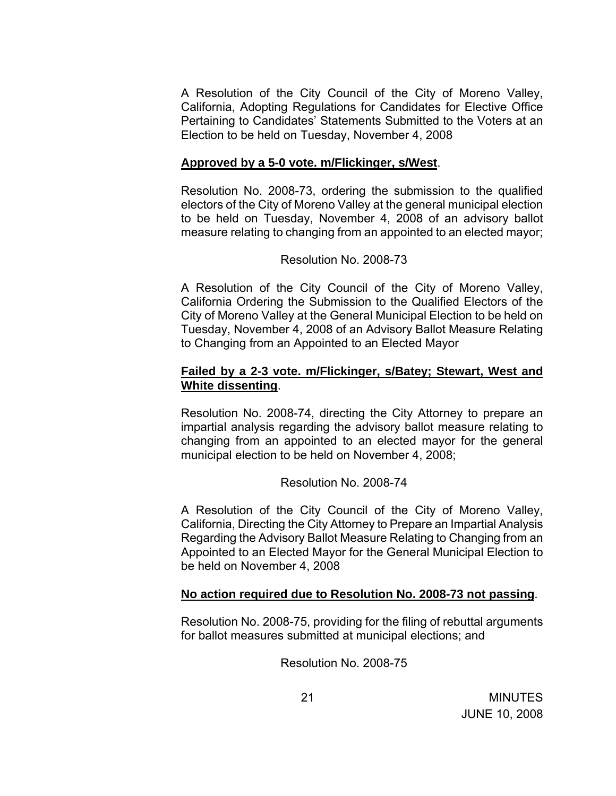A Resolution of the City Council of the City of Moreno Valley, California, Adopting Regulations for Candidates for Elective Office Pertaining to Candidates' Statements Submitted to the Voters at an Election to be held on Tuesday, November 4, 2008

#### **Approved by a 5-0 vote. m/Flickinger, s/West**.

Resolution No. 2008-73, ordering the submission to the qualified electors of the City of Moreno Valley at the general municipal election to be held on Tuesday, November 4, 2008 of an advisory ballot measure relating to changing from an appointed to an elected mayor;

#### Resolution No. 2008-73

A Resolution of the City Council of the City of Moreno Valley, California Ordering the Submission to the Qualified Electors of the City of Moreno Valley at the General Municipal Election to be held on Tuesday, November 4, 2008 of an Advisory Ballot Measure Relating to Changing from an Appointed to an Elected Mayor

#### **Failed by a 2-3 vote. m/Flickinger, s/Batey; Stewart, West and White dissenting**.

Resolution No. 2008-74, directing the City Attorney to prepare an impartial analysis regarding the advisory ballot measure relating to changing from an appointed to an elected mayor for the general municipal election to be held on November 4, 2008;

#### Resolution No. 2008-74

A Resolution of the City Council of the City of Moreno Valley, California, Directing the City Attorney to Prepare an Impartial Analysis Regarding the Advisory Ballot Measure Relating to Changing from an Appointed to an Elected Mayor for the General Municipal Election to be held on November 4, 2008

### **No action required due to Resolution No. 2008-73 not passing**.

Resolution No. 2008-75, providing for the filing of rebuttal arguments for ballot measures submitted at municipal elections; and

Resolution No. 2008-75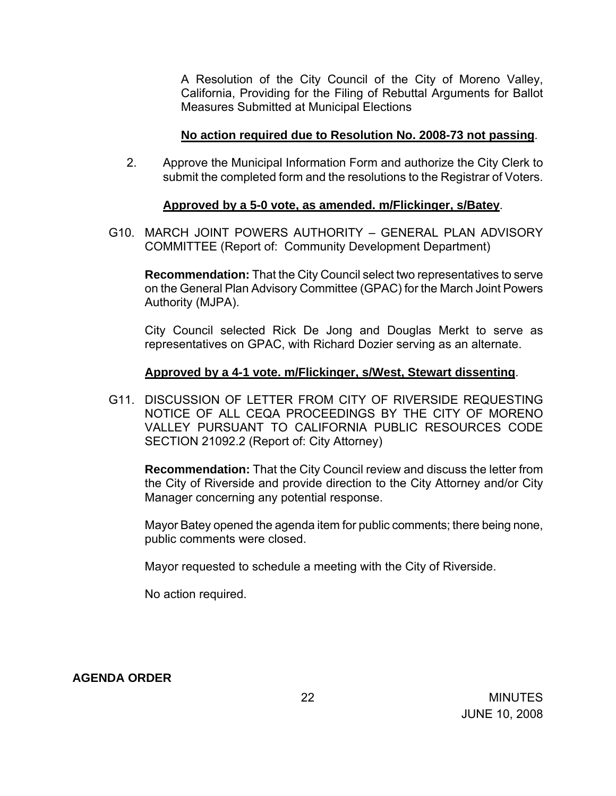A Resolution of the City Council of the City of Moreno Valley, California, Providing for the Filing of Rebuttal Arguments for Ballot Measures Submitted at Municipal Elections

#### **No action required due to Resolution No. 2008-73 not passing**.

2. Approve the Municipal Information Form and authorize the City Clerk to submit the completed form and the resolutions to the Registrar of Voters.

#### **Approved by a 5-0 vote, as amended. m/Flickinger, s/Batey**.

G10. MARCH JOINT POWERS AUTHORITY – GENERAL PLAN ADVISORY COMMITTEE (Report of: Community Development Department)

**Recommendation:** That the City Council select two representatives to serve on the General Plan Advisory Committee (GPAC) for the March Joint Powers Authority (MJPA).

 City Council selected Rick De Jong and Douglas Merkt to serve as representatives on GPAC, with Richard Dozier serving as an alternate.

#### **Approved by a 4-1 vote. m/Flickinger, s/West, Stewart dissenting**.

G11. DISCUSSION OF LETTER FROM CITY OF RIVERSIDE REQUESTING NOTICE OF ALL CEQA PROCEEDINGS BY THE CITY OF MORENO VALLEY PURSUANT TO CALIFORNIA PUBLIC RESOURCES CODE SECTION 21092.2 (Report of: City Attorney)

**Recommendation:** That the City Council review and discuss the letter from the City of Riverside and provide direction to the City Attorney and/or City Manager concerning any potential response.

Mayor Batey opened the agenda item for public comments; there being none, public comments were closed.

Mayor requested to schedule a meeting with the City of Riverside.

No action required.

**AGENDA ORDER**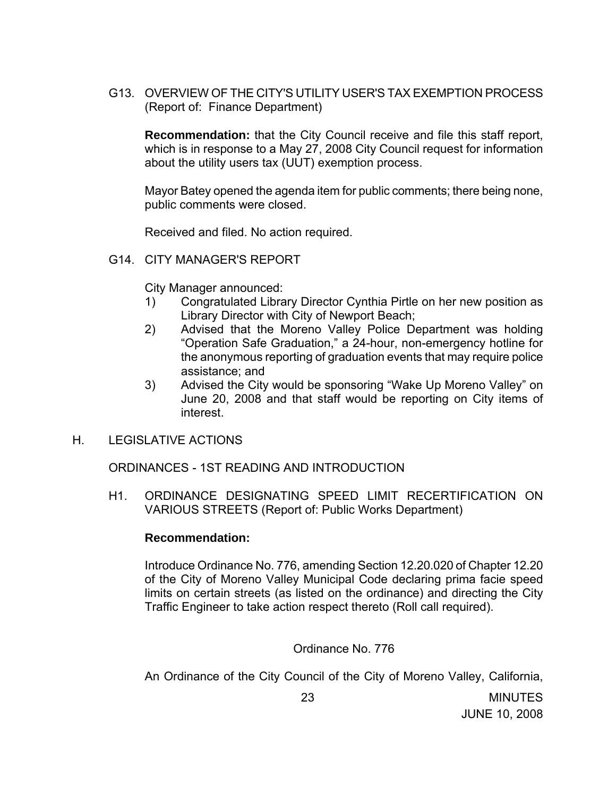G13. OVERVIEW OF THE CITY'S UTILITY USER'S TAX EXEMPTION PROCESS (Report of: Finance Department)

**Recommendation:** that the City Council receive and file this staff report, which is in response to a May 27, 2008 City Council request for information about the utility users tax (UUT) exemption process.

Mayor Batey opened the agenda item for public comments; there being none, public comments were closed.

Received and filed. No action required.

G14. CITY MANAGER'S REPORT

City Manager announced:

- 1) Congratulated Library Director Cynthia Pirtle on her new position as Library Director with City of Newport Beach;
- 2) Advised that the Moreno Valley Police Department was holding "Operation Safe Graduation," a 24-hour, non-emergency hotline for the anonymous reporting of graduation events that may require police assistance; and
- 3) Advised the City would be sponsoring "Wake Up Moreno Valley" on June 20, 2008 and that staff would be reporting on City items of interest.
- H. LEGISLATIVE ACTIONS

ORDINANCES - 1ST READING AND INTRODUCTION

H1. ORDINANCE DESIGNATING SPEED LIMIT RECERTIFICATION ON VARIOUS STREETS (Report of: Public Works Department)

#### **Recommendation:**

Introduce Ordinance No. 776, amending Section 12.20.020 of Chapter 12.20 of the City of Moreno Valley Municipal Code declaring prima facie speed limits on certain streets (as listed on the ordinance) and directing the City Traffic Engineer to take action respect thereto (Roll call required).

### Ordinance No. 776

An Ordinance of the City Council of the City of Moreno Valley, California,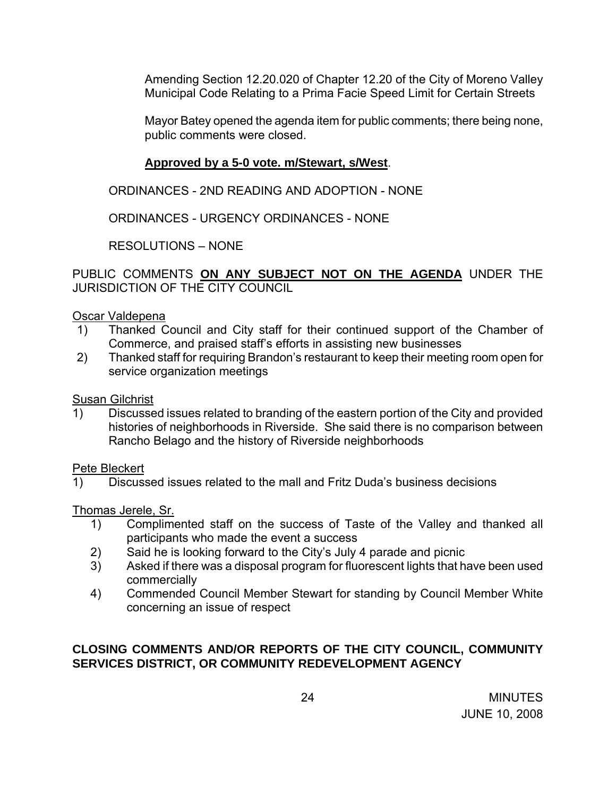Amending Section 12.20.020 of Chapter 12.20 of the City of Moreno Valley Municipal Code Relating to a Prima Facie Speed Limit for Certain Streets

Mayor Batey opened the agenda item for public comments; there being none, public comments were closed.

# **Approved by a 5-0 vote. m/Stewart, s/West**.

ORDINANCES - 2ND READING AND ADOPTION - NONE

ORDINANCES - URGENCY ORDINANCES - NONE

RESOLUTIONS – NONE

PUBLIC COMMENTS **ON ANY SUBJECT NOT ON THE AGENDA** UNDER THE JURISDICTION OF THE CITY COUNCIL

### Oscar Valdepena

- 1) Thanked Council and City staff for their continued support of the Chamber of Commerce, and praised staff's efforts in assisting new businesses
- 2) Thanked staff for requiring Brandon's restaurant to keep their meeting room open for service organization meetings

Susan Gilchrist

1) Discussed issues related to branding of the eastern portion of the City and provided histories of neighborhoods in Riverside. She said there is no comparison between Rancho Belago and the history of Riverside neighborhoods

Pete Bleckert

1) Discussed issues related to the mall and Fritz Duda's business decisions

Thomas Jerele, Sr.

- 1) Complimented staff on the success of Taste of the Valley and thanked all participants who made the event a success
- 2) Said he is looking forward to the City's July 4 parade and picnic
- 3) Asked if there was a disposal program for fluorescent lights that have been used commercially
- 4) Commended Council Member Stewart for standing by Council Member White concerning an issue of respect

# **CLOSING COMMENTS AND/OR REPORTS OF THE CITY COUNCIL, COMMUNITY SERVICES DISTRICT, OR COMMUNITY REDEVELOPMENT AGENCY**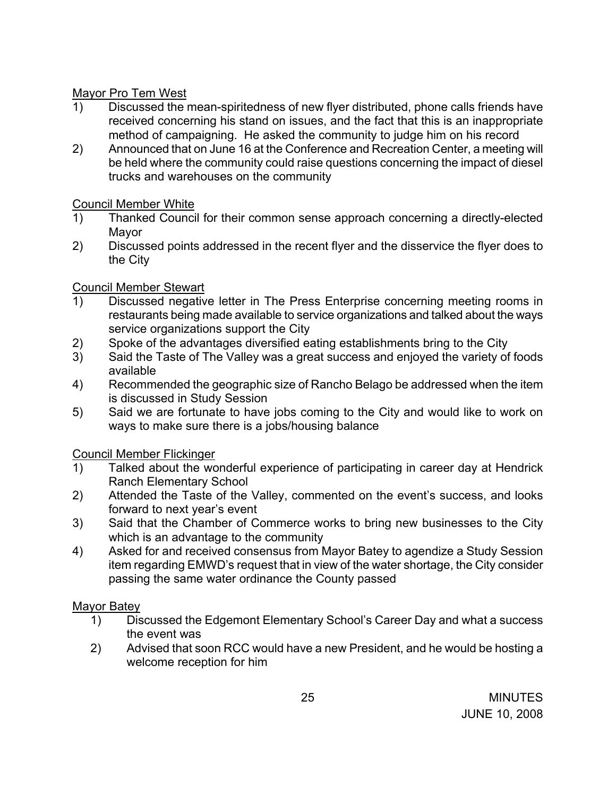# Mayor Pro Tem West

- 1) Discussed the mean-spiritedness of new flyer distributed, phone calls friends have received concerning his stand on issues, and the fact that this is an inappropriate method of campaigning. He asked the community to judge him on his record
- 2) Announced that on June 16 at the Conference and Recreation Center, a meeting will be held where the community could raise questions concerning the impact of diesel trucks and warehouses on the community

# Council Member White

- 1) Thanked Council for their common sense approach concerning a directly-elected Mayor
- 2) Discussed points addressed in the recent flyer and the disservice the flyer does to the City

# Council Member Stewart

- 1) Discussed negative letter in The Press Enterprise concerning meeting rooms in restaurants being made available to service organizations and talked about the ways service organizations support the City
- 2) Spoke of the advantages diversified eating establishments bring to the City
- 3) Said the Taste of The Valley was a great success and enjoyed the variety of foods available
- 4) Recommended the geographic size of Rancho Belago be addressed when the item is discussed in Study Session
- 5) Said we are fortunate to have jobs coming to the City and would like to work on ways to make sure there is a jobs/housing balance

Council Member Flickinger

- 1) Talked about the wonderful experience of participating in career day at Hendrick Ranch Elementary School
- 2) Attended the Taste of the Valley, commented on the event's success, and looks forward to next year's event
- 3) Said that the Chamber of Commerce works to bring new businesses to the City which is an advantage to the community
- 4) Asked for and received consensus from Mayor Batey to agendize a Study Session item regarding EMWD's request that in view of the water shortage, the City consider passing the same water ordinance the County passed

# Mayor Batey

- 1) Discussed the Edgemont Elementary School's Career Day and what a success the event was
- 2) Advised that soon RCC would have a new President, and he would be hosting a welcome reception for him